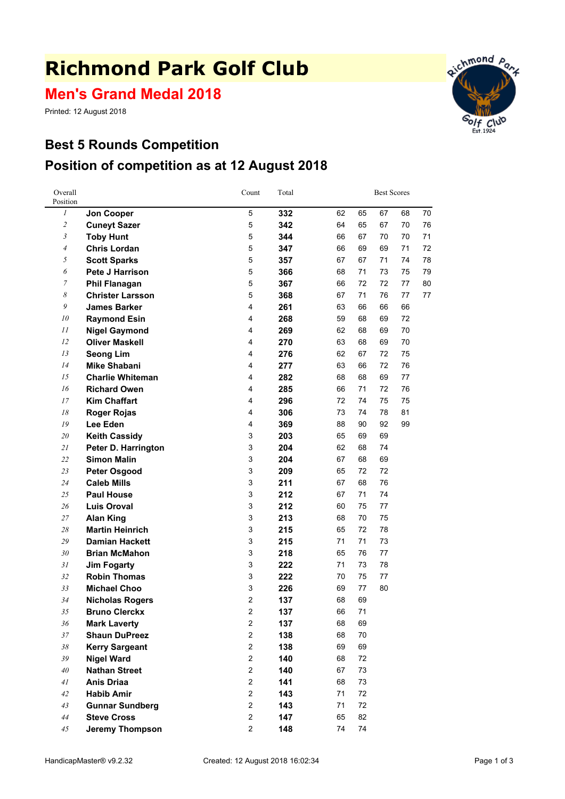# **Richmond Park Golf Club**

**Men's Grand Medal 2018**

Printed: 12 August 2018

### **Best 5 Rounds Competition Position of competition as at 12 August 2018**



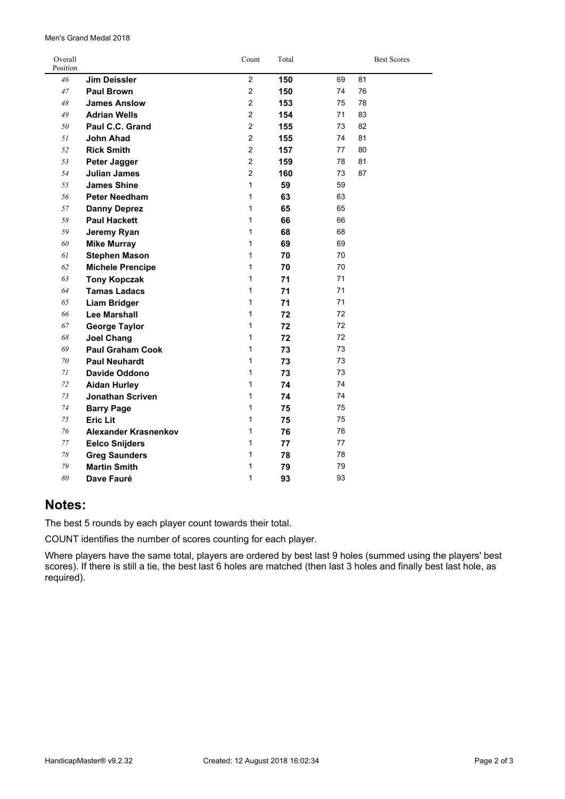| Men's Grand Medal 2018 |  |
|------------------------|--|
|------------------------|--|

| Overall<br>Position |                         | Count          | Total |    | <b>Best Scores</b> |
|---------------------|-------------------------|----------------|-------|----|--------------------|
| 46                  | <b>Jim Deissler</b>     | $\overline{2}$ | 150   | 69 | 81                 |
| 47                  | <b>Paul Brown</b>       | $\overline{2}$ | 150   | 74 | 76                 |
| 48                  | <b>James Anslow</b>     | $\overline{2}$ | 153   | 75 | 78                 |
| 49                  | <b>Adrian Wells</b>     | $\overline{2}$ | 154   | 71 | 83                 |
| 50                  | Paul C.C. Grand         | $\overline{2}$ | 155   | 73 | 82                 |
| 51                  | <b>John Ahad</b>        | $\overline{2}$ | 155   | 74 | 81                 |
| 52                  | <b>Rick Smith</b>       | $\overline{2}$ | 157   | 77 | 80                 |
| 53                  | Peter Jagger            | $\overline{2}$ | 159   | 78 | 81                 |
| 54                  | <b>Julian James</b>     | $\overline{2}$ | 160   | 73 | 87                 |
| 55                  | <b>James Shine</b>      | $\mathbf{1}$   | 59    | 59 |                    |
| 56                  | <b>Peter Needham</b>    | 1              | 63    | 63 |                    |
| 57                  | <b>Danny Deprez</b>     | 1              | 65    | 65 |                    |
| 58                  | <b>Paul Hackett</b>     | $\mathbf{1}$   | 66    | 66 |                    |
| 59                  | Jeremy Ryan             | 1              | 68    | 68 |                    |
| 60                  | <b>Mike Murray</b>      | 1              | 69    | 69 |                    |
| 61                  | <b>Stephen Mason</b>    | 1              | 70    | 70 |                    |
| 62                  | <b>Michele Prencipe</b> | 1              | 70    | 70 |                    |
| 63                  | <b>Tony Kopczak</b>     | 1              | 71    | 71 |                    |
| 64                  | <b>Tamas Ladacs</b>     | 1              | 71    | 71 |                    |
| 65                  | <b>Liam Bridger</b>     | 1              | 71    | 71 |                    |
| 66                  | Lee Marshall            | $\mathbf{1}$   | 72    | 72 |                    |
| 67                  | <b>George Taylor</b>    | 1              | 72    | 72 |                    |
| 68                  | <b>Joel Chang</b>       | $\mathbf{1}$   | 72    | 72 |                    |
| 69                  | <b>Paul Graham Cook</b> | 1              | 73    | 73 |                    |
| $70\,$              | <b>Paul Neuhardt</b>    | 1              | 73    | 73 |                    |
| 71                  | <b>Davide Oddono</b>    | 1              | 73    | 73 |                    |
| 72                  | <b>Aidan Hurley</b>     | $\mathbf{1}$   | 74    | 74 |                    |
| 73                  | Jonathan Scriven        | 1              | 74    | 74 |                    |
| $74\,$              | <b>Barry Page</b>       | 1              | 75    | 75 |                    |
| 75                  | <b>Eric Lit</b>         | $\mathbf{1}$   | 75    | 75 |                    |
| 76                  | Alexander Krasnenkov    | $\mathbf{1}$   | 76    | 76 |                    |
| 77                  | <b>Eelco Snijders</b>   | $\mathbf{1}$   | 77    | 77 |                    |
| $78\,$              | <b>Greg Saunders</b>    | $\mathbf{1}$   | 78    | 78 |                    |
| 79                  | <b>Martin Smith</b>     | 1              | 79    | 79 |                    |
| 80                  | Dave Fauré              | 1              | 93    | 93 |                    |

#### **Notes:**

The best 5 rounds by each player count towards their total.

COUNT identifies the number of scores counting for each player.

Where players have the same total, players are ordered by best last 9 holes (summed using the players' best scores). If there is still <sup>a</sup> tie, the best last 6 holes are matched (then last 3 holes and finally best last hole, as required).